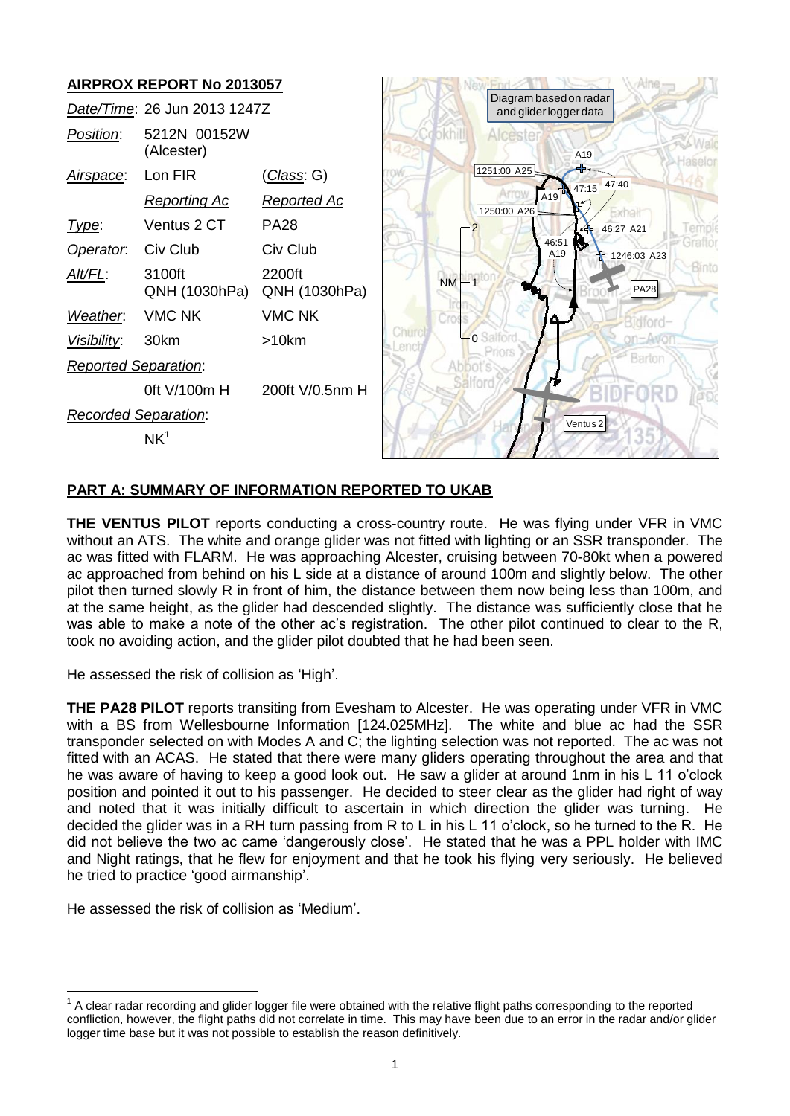

## **PART A: SUMMARY OF INFORMATION REPORTED TO UKAB**

**THE VENTUS PILOT** reports conducting a cross-country route. He was flying under VFR in VMC without an ATS. The white and orange glider was not fitted with lighting or an SSR transponder. The ac was fitted with FLARM. He was approaching Alcester, cruising between 70-80kt when a powered ac approached from behind on his L side at a distance of around 100m and slightly below. The other pilot then turned slowly R in front of him, the distance between them now being less than 100m, and at the same height, as the glider had descended slightly. The distance was sufficiently close that he was able to make a note of the other ac's registration. The other pilot continued to clear to the R, took no avoiding action, and the glider pilot doubted that he had been seen.

He assessed the risk of collision as 'High'.

**THE PA28 PILOT** reports transiting from Evesham to Alcester. He was operating under VFR in VMC with a BS from Wellesbourne Information [124.025MHz]. The white and blue ac had the SSR transponder selected on with Modes A and C; the lighting selection was not reported. The ac was not fitted with an ACAS. He stated that there were many gliders operating throughout the area and that he was aware of having to keep a good look out. He saw a glider at around 1nm in his L 11 o'clock position and pointed it out to his passenger. He decided to steer clear as the glider had right of way and noted that it was initially difficult to ascertain in which direction the glider was turning. He decided the glider was in a RH turn passing from R to L in his L 11 o'clock, so he turned to the R. He did not believe the two ac came 'dangerously close'. He stated that he was a PPL holder with IMC and Night ratings, that he flew for enjoyment and that he took his flying very seriously. He believed he tried to practice 'good airmanship'.

He assessed the risk of collision as 'Medium'.

 $\overline{a}$  $1$  A clear radar recording and glider logger file were obtained with the relative flight paths corresponding to the reported confliction, however, the flight paths did not correlate in time. This may have been due to an error in the radar and/or glider logger time base but it was not possible to establish the reason definitively.